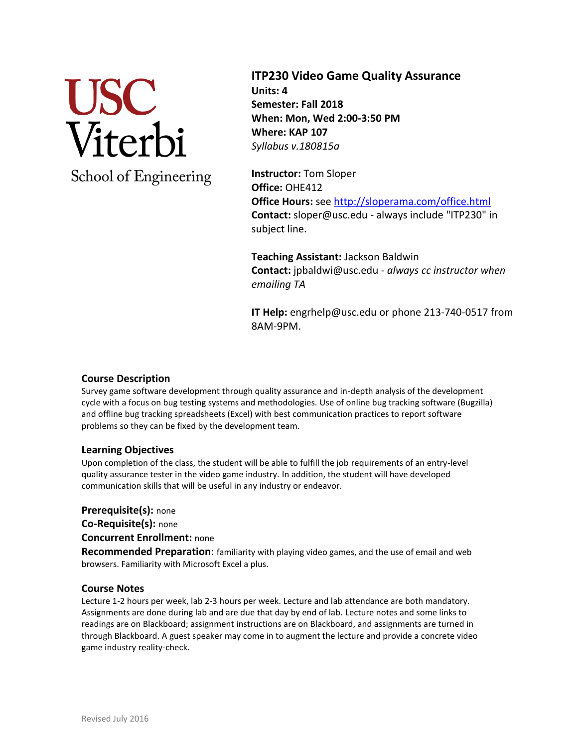

**ITP230 Video Game Quality Assurance Units: 4 Semester: Fall 2018 When: Mon, Wed 2:00-3:50 PM Where: KAP 107** *Syllabus v.180815a*

**Instructor:** Tom Sloper **Office:** OHE412 **Office Hours:** se[e http://sloperama.com/office.html](http://sloperama.com/office.html) **Contact:** sloper@usc.edu - always include "ITP230" in subject line.

**Teaching Assistant:** Jackson Baldwin **Contact:** jpbaldwi@usc.edu *- always cc instructor when emailing TA*

**IT Help:** engrhelp@usc.edu or phone 213-740-0517 from 8AM-9PM.

# **Course Description**

Survey game software development through quality assurance and in-depth analysis of the development cycle with a focus on bug testing systems and methodologies. Use of online bug tracking software (Bugzilla) and offline bug tracking spreadsheets (Excel) with best communication practices to report software problems so they can be fixed by the development team.

## **Learning Objectives**

Upon completion of the class, the student will be able to fulfill the job requirements of an entry-level quality assurance tester in the video game industry. In addition, the student will have developed communication skills that will be useful in any industry or endeavor.

**Prerequisite(s):** none

**Co-Requisite(s):** none

**Concurrent Enrollment:** none

**Recommended Preparation**: familiarity with playing video games, and the use of email and web browsers. Familiarity with Microsoft Excel a plus.

## **Course Notes**

Lecture 1-2 hours per week, lab 2-3 hours per week. Lecture and lab attendance are both mandatory. Assignments are done during lab and are due that day by end of lab. Lecture notes and some links to readings are on Blackboard; assignment instructions are on Blackboard, and assignments are turned in through Blackboard. A guest speaker may come in to augment the lecture and provide a concrete video game industry reality-check.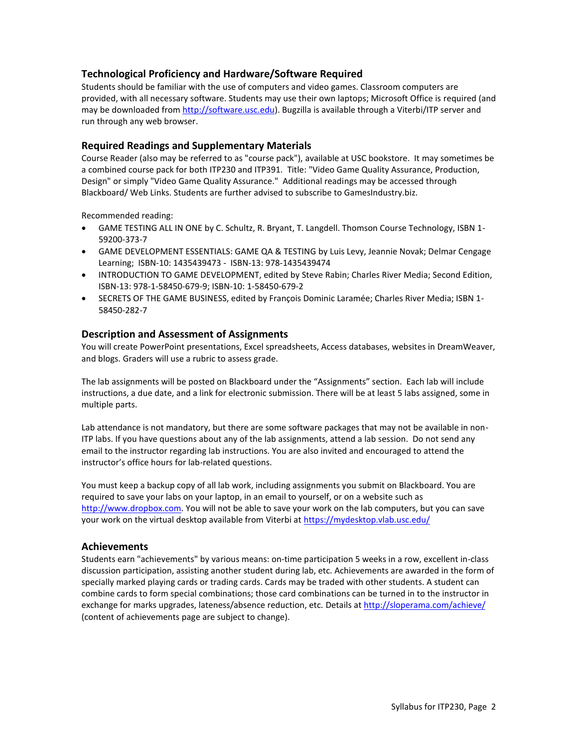# **Technological Proficiency and Hardware/Software Required**

Students should be familiar with the use of computers and video games. Classroom computers are provided, with all necessary software. Students may use their own laptops; Microsoft Office is required (and may be downloaded fro[m http://software.usc.edu\)](http://software.usc.edu/). Bugzilla is available through a Viterbi/ITP server and run through any web browser.

# **Required Readings and Supplementary Materials**

Course Reader (also may be referred to as "course pack"), available at USC bookstore. It may sometimes be a combined course pack for both ITP230 and ITP391. Title: "Video Game Quality Assurance, Production, Design" or simply "Video Game Quality Assurance." Additional readings may be accessed through Blackboard/ Web Links. Students are further advised to subscribe to GamesIndustry.biz.

Recommended reading:

- GAME TESTING ALL IN ONE by C. Schultz, R. Bryant, T. Langdell. Thomson Course Technology, ISBN 1- 59200-373-7
- GAME DEVELOPMENT ESSENTIALS: GAME QA & TESTING by Luis Levy, Jeannie Novak; Delmar Cengage Learning; ISBN-10: 1435439473 - ISBN-13: 978-1435439474
- INTRODUCTION TO GAME DEVELOPMENT, edited by Steve Rabin; Charles River Media; Second Edition, ISBN-13: 978-1-58450-679-9; ISBN-10: 1-58450-679-2
- SECRETS OF THE GAME BUSINESS, edited by François Dominic Laramée; Charles River Media; ISBN 1- 58450-282-7

#### **Description and Assessment of Assignments**

You will create PowerPoint presentations, Excel spreadsheets, Access databases, websites in DreamWeaver, and blogs. Graders will use a rubric to assess grade.

The lab assignments will be posted on Blackboard under the "Assignments" section. Each lab will include instructions, a due date, and a link for electronic submission. There will be at least 5 labs assigned, some in multiple parts.

Lab attendance is not mandatory, but there are some software packages that may not be available in non-ITP labs. If you have questions about any of the lab assignments, attend a lab session. Do not send any email to the instructor regarding lab instructions. You are also invited and encouraged to attend the instructor's office hours for lab-related questions.

You must keep a backup copy of all lab work, including assignments you submit on Blackboard. You are required to save your labs on your laptop, in an email to yourself, or on a website such as [http://www.dropbox.com.](http://www.dropbox.com/) You will not be able to save your work on the lab computers, but you can save your work on the virtual desktop available from Viterbi at<https://mydesktop.vlab.usc.edu/>

#### **Achievements**

Students earn "achievements" by various means: on-time participation 5 weeks in a row, excellent in-class discussion participation, assisting another student during lab, etc. Achievements are awarded in the form of specially marked playing cards or trading cards. Cards may be traded with other students. A student can combine cards to form special combinations; those card combinations can be turned in to the instructor in exchange for marks upgrades, lateness/absence reduction, etc. Details a[t http://sloperama.com/achieve/](http://sloperama.com/achieve/) (content of achievements page are subject to change).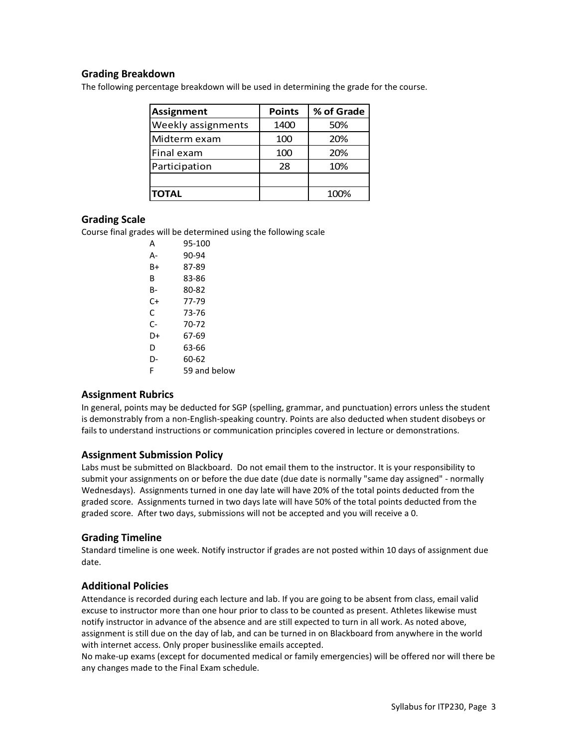# **Grading Breakdown**

The following percentage breakdown will be used in determining the grade for the course.

| <b>Assignment</b>  | <b>Points</b> | % of Grade |
|--------------------|---------------|------------|
| Weekly assignments | 1400          | 50%        |
| Midterm exam       | 100           | 20%        |
| Final exam         | 100           | 20%        |
| Participation      | 28            | 10%        |
|                    |               |            |
| <b>TOTAL</b>       |               | 100%       |

#### **Grading Scale**

Course final grades will be determined using the following scale

| А  | 95-100       |
|----|--------------|
| А- | 90-94        |
| B+ | 87-89        |
| B  | 83-86        |
| в- | 80-82        |
| C+ | 77-79        |
| C  | 73-76        |
| C- | 70-72        |
| D+ | 67-69        |
| D  | 63-66        |
| D- | 60-62        |
| F  | 59 and below |

## **Assignment Rubrics**

In general, points may be deducted for SGP (spelling, grammar, and punctuation) errors unless the student is demonstrably from a non-English-speaking country. Points are also deducted when student disobeys or fails to understand instructions or communication principles covered in lecture or demonstrations.

## **Assignment Submission Policy**

Labs must be submitted on Blackboard. Do not email them to the instructor. It is your responsibility to submit your assignments on or before the due date (due date is normally "same day assigned" - normally Wednesdays). Assignments turned in one day late will have 20% of the total points deducted from the graded score. Assignments turned in two days late will have 50% of the total points deducted from the graded score. After two days, submissions will not be accepted and you will receive a 0.

## **Grading Timeline**

Standard timeline is one week. Notify instructor if grades are not posted within 10 days of assignment due date.

## **Additional Policies**

Attendance is recorded during each lecture and lab. If you are going to be absent from class, email valid excuse to instructor more than one hour prior to class to be counted as present. Athletes likewise must notify instructor in advance of the absence and are still expected to turn in all work. As noted above, assignment is still due on the day of lab, and can be turned in on Blackboard from anywhere in the world with internet access. Only proper businesslike emails accepted.

No make-up exams (except for documented medical or family emergencies) will be offered nor will there be any changes made to the Final Exam schedule.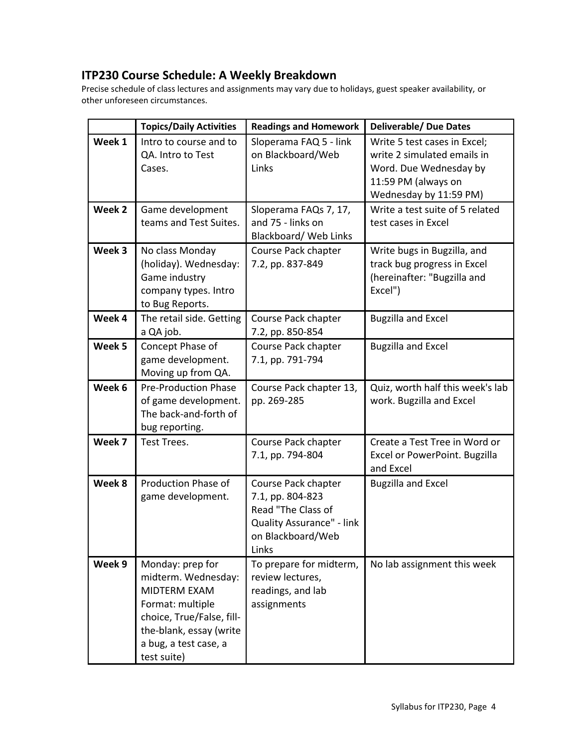# **ITP230 Course Schedule: A Weekly Breakdown**

Precise schedule of class lectures and assignments may vary due to holidays, guest speaker availability, or other unforeseen circumstances.

|        | <b>Topics/Daily Activities</b>                                                                                                                                              | <b>Readings and Homework</b>                                                                                             | <b>Deliverable/ Due Dates</b>                                                                                                          |
|--------|-----------------------------------------------------------------------------------------------------------------------------------------------------------------------------|--------------------------------------------------------------------------------------------------------------------------|----------------------------------------------------------------------------------------------------------------------------------------|
| Week 1 | Intro to course and to<br>QA. Intro to Test<br>Cases.                                                                                                                       | Sloperama FAQ 5 - link<br>on Blackboard/Web<br>Links                                                                     | Write 5 test cases in Excel;<br>write 2 simulated emails in<br>Word. Due Wednesday by<br>11:59 PM (always on<br>Wednesday by 11:59 PM) |
| Week 2 | Game development<br>teams and Test Suites.                                                                                                                                  | Sloperama FAQs 7, 17,<br>and 75 - links on<br><b>Blackboard/ Web Links</b>                                               | Write a test suite of 5 related<br>test cases in Excel                                                                                 |
| Week 3 | No class Monday<br>(holiday). Wednesday:<br>Game industry<br>company types. Intro<br>to Bug Reports.                                                                        | Course Pack chapter<br>7.2, pp. 837-849                                                                                  | Write bugs in Bugzilla, and<br>track bug progress in Excel<br>(hereinafter: "Bugzilla and<br>Excel")                                   |
| Week 4 | The retail side. Getting<br>a QA job.                                                                                                                                       | Course Pack chapter<br>7.2, pp. 850-854                                                                                  | <b>Bugzilla and Excel</b>                                                                                                              |
| Week 5 | Concept Phase of<br>game development.<br>Moving up from QA.                                                                                                                 | Course Pack chapter<br>7.1, pp. 791-794                                                                                  | <b>Bugzilla and Excel</b>                                                                                                              |
| Week 6 | <b>Pre-Production Phase</b><br>of game development.<br>The back-and-forth of<br>bug reporting.                                                                              | Course Pack chapter 13,<br>pp. 269-285                                                                                   | Quiz, worth half this week's lab<br>work. Bugzilla and Excel                                                                           |
| Week 7 | Test Trees.                                                                                                                                                                 | Course Pack chapter<br>7.1, pp. 794-804                                                                                  | Create a Test Tree in Word or<br>Excel or PowerPoint. Bugzilla<br>and Excel                                                            |
| Week 8 | Production Phase of<br>game development.                                                                                                                                    | Course Pack chapter<br>7.1, pp. 804-823<br>Read "The Class of<br>Quality Assurance" - link<br>on Blackboard/Web<br>Links | <b>Bugzilla and Excel</b>                                                                                                              |
| Week 9 | Monday: prep for<br>midterm. Wednesday:<br>MIDTERM EXAM<br>Format: multiple<br>choice, True/False, fill-<br>the-blank, essay (write<br>a bug, a test case, a<br>test suite) | To prepare for midterm,<br>review lectures,<br>readings, and lab<br>assignments                                          | No lab assignment this week                                                                                                            |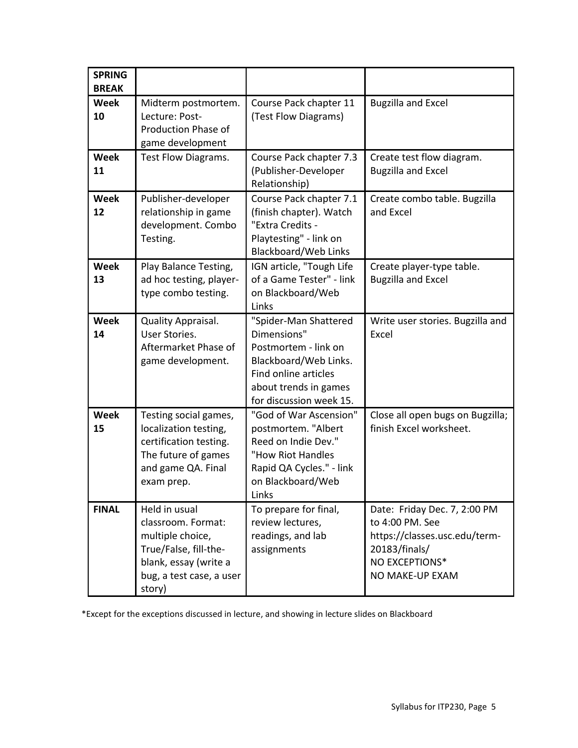| <b>SPRING</b><br><b>BREAK</b> |                                                                                                                                                 |                                                                                                                                                                   |                                                                                                                                        |
|-------------------------------|-------------------------------------------------------------------------------------------------------------------------------------------------|-------------------------------------------------------------------------------------------------------------------------------------------------------------------|----------------------------------------------------------------------------------------------------------------------------------------|
| <b>Week</b><br>10             | Midterm postmortem.<br>Lecture: Post-<br><b>Production Phase of</b><br>game development                                                         | Course Pack chapter 11<br>(Test Flow Diagrams)                                                                                                                    | <b>Bugzilla and Excel</b>                                                                                                              |
| <b>Week</b><br>11             | Test Flow Diagrams.                                                                                                                             | Course Pack chapter 7.3<br>(Publisher-Developer<br>Relationship)                                                                                                  | Create test flow diagram.<br><b>Bugzilla and Excel</b>                                                                                 |
| <b>Week</b><br>12             | Publisher-developer<br>relationship in game<br>development. Combo<br>Testing.                                                                   | Course Pack chapter 7.1<br>(finish chapter). Watch<br>"Extra Credits -<br>Playtesting" - link on<br>Blackboard/Web Links                                          | Create combo table. Bugzilla<br>and Excel                                                                                              |
| <b>Week</b><br>13             | Play Balance Testing,<br>ad hoc testing, player-<br>type combo testing.                                                                         | IGN article, "Tough Life<br>of a Game Tester" - link<br>on Blackboard/Web<br>Links                                                                                | Create player-type table.<br><b>Bugzilla and Excel</b>                                                                                 |
| <b>Week</b><br>14             | Quality Appraisal.<br>User Stories.<br>Aftermarket Phase of<br>game development.                                                                | "Spider-Man Shattered<br>Dimensions"<br>Postmortem - link on<br>Blackboard/Web Links.<br>Find online articles<br>about trends in games<br>for discussion week 15. | Write user stories. Bugzilla and<br>Excel                                                                                              |
| <b>Week</b><br>15             | Testing social games,<br>localization testing,<br>certification testing.<br>The future of games<br>and game QA. Final<br>exam prep.             | "God of War Ascension"<br>postmortem. "Albert<br>Reed on Indie Dev."<br>"How Riot Handles<br>Rapid QA Cycles." - link<br>on Blackboard/Web<br>Links               | Close all open bugs on Bugzilla;<br>finish Excel worksheet.                                                                            |
| <b>FINAL</b>                  | Held in usual<br>classroom. Format:<br>multiple choice,<br>True/False, fill-the-<br>blank, essay (write a<br>bug, a test case, a user<br>story) | To prepare for final,<br>review lectures,<br>readings, and lab<br>assignments                                                                                     | Date: Friday Dec. 7, 2:00 PM<br>to 4:00 PM. See<br>https://classes.usc.edu/term-<br>20183/finals/<br>NO EXCEPTIONS*<br>NO MAKE-UP EXAM |

\*Except for the exceptions discussed in lecture, and showing in lecture slides on Blackboard